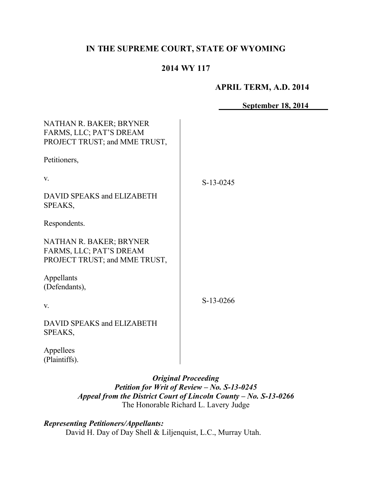# **IN THE SUPREME COURT, STATE OF WYOMING**

# **2014 WY 117**

### **APRIL TERM, A.D. 2014**

|                                                                                     | <b>September 18, 2014</b> |
|-------------------------------------------------------------------------------------|---------------------------|
| NATHAN R. BAKER; BRYNER<br>FARMS, LLC; PAT'S DREAM<br>PROJECT TRUST; and MME TRUST, |                           |
| Petitioners,                                                                        |                           |
| V.                                                                                  | $S-13-0245$               |
| DAVID SPEAKS and ELIZABETH<br>SPEAKS,                                               |                           |
| Respondents.                                                                        |                           |
| NATHAN R. BAKER; BRYNER<br>FARMS, LLC; PAT'S DREAM<br>PROJECT TRUST; and MME TRUST, |                           |
| Appellants<br>(Defendants),                                                         |                           |
| V.                                                                                  | S-13-0266                 |
| DAVID SPEAKS and ELIZABETH<br>SPEAKS,                                               |                           |
| Appellees<br>(Plaintiffs).                                                          |                           |

*Original Proceeding Petition for Writ of Review – No. S-13-0245 Appeal from the District Court of Lincoln County – No. S-13-0266* The Honorable Richard L. Lavery Judge

*Representing Petitioners/Appellants:* David H. Day of Day Shell & Liljenquist, L.C., Murray Utah.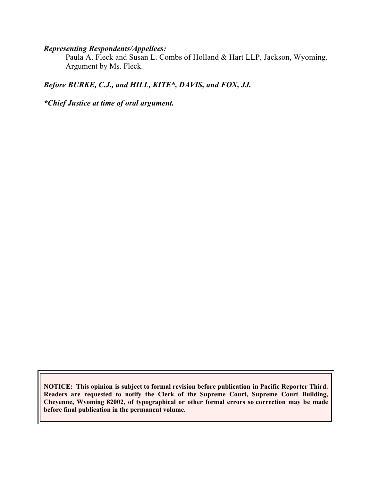#### *Representing Respondents/Appellees:*

Paula A. Fleck and Susan L. Combs of Holland & Hart LLP, Jackson, Wyoming. Argument by Ms. Fleck.

# *Before BURKE, C.J., and HILL, KITE\*, DAVIS, and FOX, JJ.*

*\*Chief Justice at time of oral argument.*

**NOTICE: This opinion is subject to formal revision before publication in Pacific Reporter Third. Readers are requested to notify the Clerk of the Supreme Court, Supreme Court Building, Cheyenne, Wyoming 82002, of typographical or other formal errors so correction may be made before final publication in the permanent volume.**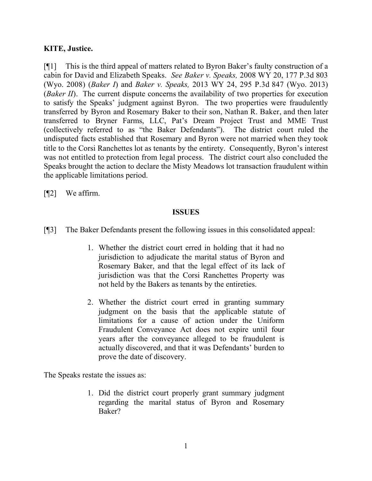# **KITE, Justice.**

[¶1] This is the third appeal of matters related to Byron Baker's faulty construction of a cabin for David and Elizabeth Speaks. *See Baker v. Speaks,* 2008 WY 20, 177 P.3d 803 (Wyo. 2008) (*Baker I*) and *Baker v. Speaks,* 2013 WY 24, 295 P.3d 847 (Wyo. 2013) (*Baker II*). The current dispute concerns the availability of two properties for execution to satisfy the Speaks' judgment against Byron. The two properties were fraudulently transferred by Byron and Rosemary Baker to their son, Nathan R. Baker, and then later transferred to Bryner Farms, LLC, Pat's Dream Project Trust and MME Trust (collectively referred to as "the Baker Defendants"). The district court ruled the undisputed facts established that Rosemary and Byron were not married when they took title to the Corsi Ranchettes lot as tenants by the entirety. Consequently, Byron's interest was not entitled to protection from legal process. The district court also concluded the Speaks brought the action to declare the Misty Meadows lot transaction fraudulent within the applicable limitations period.

[¶2] We affirm.

## **ISSUES**

- [¶3] The Baker Defendants present the following issues in this consolidated appeal:
	- 1. Whether the district court erred in holding that it had no jurisdiction to adjudicate the marital status of Byron and Rosemary Baker, and that the legal effect of its lack of jurisdiction was that the Corsi Ranchettes Property was not held by the Bakers as tenants by the entireties.
	- 2. Whether the district court erred in granting summary judgment on the basis that the applicable statute of limitations for a cause of action under the Uniform Fraudulent Conveyance Act does not expire until four years after the conveyance alleged to be fraudulent is actually discovered, and that it was Defendants' burden to prove the date of discovery.

The Speaks restate the issues as:

1. Did the district court properly grant summary judgment regarding the marital status of Byron and Rosemary Baker?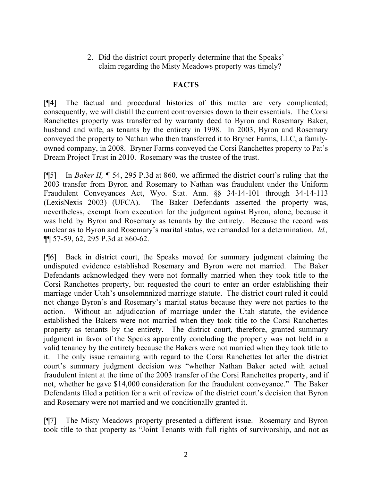2. Did the district court properly determine that the Speaks' claim regarding the Misty Meadows property was timely?

### **FACTS**

[¶4] The factual and procedural histories of this matter are very complicated; consequently, we will distill the current controversies down to their essentials. The Corsi Ranchettes property was transferred by warranty deed to Byron and Rosemary Baker, husband and wife, as tenants by the entirety in 1998. In 2003, Byron and Rosemary conveyed the property to Nathan who then transferred it to Bryner Farms, LLC, a familyowned company, in 2008. Bryner Farms conveyed the Corsi Ranchettes property to Pat's Dream Project Trust in 2010. Rosemary was the trustee of the trust.

[¶5] In *Baker II,* ¶ 54, 295 P.3d at 860*,* we affirmed the district court's ruling that the 2003 transfer from Byron and Rosemary to Nathan was fraudulent under the Uniform Fraudulent Conveyances Act, Wyo. Stat. Ann. §§ 34-14-101 through 34-14-113 (LexisNexis 2003) (UFCA). The Baker Defendants asserted the property was, nevertheless, exempt from execution for the judgment against Byron, alone, because it was held by Byron and Rosemary as tenants by the entirety. Because the record was unclear as to Byron and Rosemary's marital status, we remanded for a determination. *Id.,*  ¶¶ 57-59, 62, 295 P.3d at 860-62.

[¶6] Back in district court, the Speaks moved for summary judgment claiming the undisputed evidence established Rosemary and Byron were not married. The Baker Defendants acknowledged they were not formally married when they took title to the Corsi Ranchettes property, but requested the court to enter an order establishing their marriage under Utah's unsolemnnized marriage statute. The district court ruled it could not change Byron's and Rosemary's marital status because they were not parties to the action. Without an adjudication of marriage under the Utah statute, the evidence established the Bakers were not married when they took title to the Corsi Ranchettes property as tenants by the entirety. The district court, therefore, granted summary judgment in favor of the Speaks apparently concluding the property was not held in a valid tenancy by the entirety because the Bakers were not married when they took title to it. The only issue remaining with regard to the Corsi Ranchettes lot after the district court's summary judgment decision was "whether Nathan Baker acted with actual fraudulent intent at the time of the 2003 transfer of the Corsi Ranchettes property, and if not, whether he gave \$14,000 consideration for the fraudulent conveyance." The Baker Defendants filed a petition for a writ of review of the district court's decision that Byron and Rosemary were not married and we conditionally granted it.

[¶7] The Misty Meadows property presented a different issue. Rosemary and Byron took title to that property as "Joint Tenants with full rights of survivorship, and not as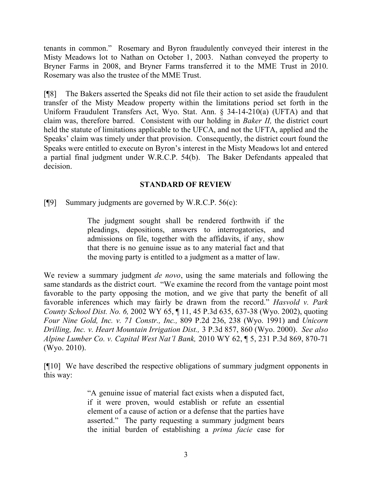tenants in common." Rosemary and Byron fraudulently conveyed their interest in the Misty Meadows lot to Nathan on October 1, 2003. Nathan conveyed the property to Bryner Farms in 2008, and Bryner Farms transferred it to the MME Trust in 2010. Rosemary was also the trustee of the MME Trust.

[¶8] The Bakers asserted the Speaks did not file their action to set aside the fraudulent transfer of the Misty Meadow property within the limitations period set forth in the Uniform Fraudulent Transfers Act, Wyo. Stat. Ann. § 34-14-210(a) (UFTA) and that claim was, therefore barred. Consistent with our holding in *Baker II,* the district court held the statute of limitations applicable to the UFCA, and not the UFTA, applied and the Speaks' claim was timely under that provision. Consequently, the district court found the Speaks were entitled to execute on Byron's interest in the Misty Meadows lot and entered a partial final judgment under W.R.C.P. 54(b). The Baker Defendants appealed that decision.

### **STANDARD OF REVIEW**

[¶9] Summary judgments are governed by W.R.C.P. 56(c):

The judgment sought shall be rendered forthwith if the pleadings, depositions, answers to interrogatories, and admissions on file, together with the affidavits, if any, show that there is no genuine issue as to any material fact and that the moving party is entitled to a judgment as a matter of law.

We review a summary judgment *de novo*, using the same materials and following the same standards as the district court. "We examine the record from the vantage point most favorable to the party opposing the motion, and we give that party the benefit of all favorable inferences which may fairly be drawn from the record." *Hasvold v. Park County School Dist. No. 6,* 2002 WY 65, ¶ 11, 45 P.3d 635, 637-38 (Wyo. 2002), quoting *Four Nine Gold, Inc. v. 71 Constr., Inc.,* 809 P.2d 236, 238 (Wyo. 1991) and *Unicorn Drilling, Inc. v. Heart Mountain Irrigation Dist.,* 3 P.3d 857, 860 (Wyo. 2000). *See also Alpine Lumber Co. v. Capital West Nat'l Bank,* 2010 WY 62, ¶ 5, 231 P.3d 869, 870-71 (Wyo. 2010).

[¶10] We have described the respective obligations of summary judgment opponents in this way:

> "A genuine issue of material fact exists when a disputed fact, if it were proven, would establish or refute an essential element of a cause of action or a defense that the parties have asserted." The party requesting a summary judgment bears the initial burden of establishing a *prima facie* case for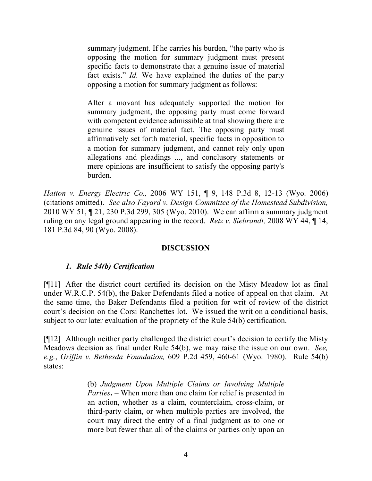summary judgment. If he carries his burden, "the party who is opposing the motion for summary judgment must present specific facts to demonstrate that a genuine issue of material fact exists." *Id.* We have explained the duties of the party opposing a motion for summary judgment as follows:

After a movant has adequately supported the motion for summary judgment, the opposing party must come forward with competent evidence admissible at trial showing there are genuine issues of material fact. The opposing party must affirmatively set forth material, specific facts in opposition to a motion for summary judgment, and cannot rely only upon allegations and pleadings ..., and conclusory statements or mere opinions are insufficient to satisfy the opposing party's burden.

*Hatton v. Energy Electric Co.,* 2006 WY 151, ¶ 9, 148 P.3d 8, 12-13 (Wyo. 2006) (citations omitted). *See also Fayard v. Design Committee of the Homestead Subdivision,*  2010 WY 51, ¶ 21, 230 P.3d 299, 305 (Wyo. 2010). We can affirm a summary judgment ruling on any legal ground appearing in the record. *Retz v. Siebrandt,* 2008 WY 44, ¶ 14, 181 P.3d 84, 90 (Wyo. 2008).

## **DISCUSSION**

#### *1. Rule 54(b) Certification*

[¶11] After the district court certified its decision on the Misty Meadow lot as final under W.R.C.P. 54(b), the Baker Defendants filed a notice of appeal on that claim. At the same time, the Baker Defendants filed a petition for writ of review of the district court's decision on the Corsi Ranchettes lot. We issued the writ on a conditional basis, subject to our later evaluation of the propriety of the Rule 54(b) certification.

[¶12] Although neither party challenged the district court's decision to certify the Misty Meadows decision as final under Rule 54(b), we may raise the issue on our own. *See, e.g.*, *Griffin v. Bethesda Foundation,* 609 P.2d 459, 460-61 (Wyo. 1980). Rule 54(b) states:

> (b) *Judgment Upon Multiple Claims or Involving Multiple Parties***.** – When more than one claim for relief is presented in an action, whether as a claim, counterclaim, cross-claim, or third-party claim, or when multiple parties are involved, the court may direct the entry of a final judgment as to one or more but fewer than all of the claims or parties only upon an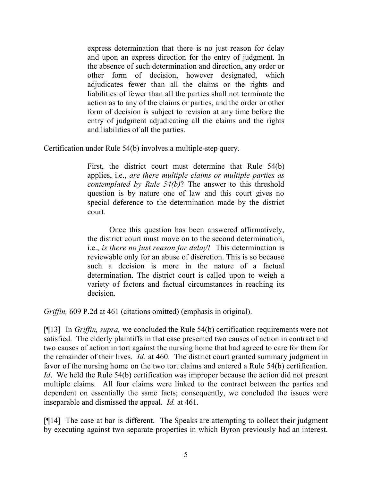express determination that there is no just reason for delay and upon an express direction for the entry of judgment. In the absence of such determination and direction, any order or other form of decision, however designated, which adjudicates fewer than all the claims or the rights and liabilities of fewer than all the parties shall not terminate the action as to any of the claims or parties, and the order or other form of decision is subject to revision at any time before the entry of judgment adjudicating all the claims and the rights and liabilities of all the parties.

Certification under Rule 54(b) involves a multiple-step query.

First, the district court must determine that Rule 54(b) applies, i.e., *are there multiple claims or multiple parties as contemplated by Rule 54(b)*? The answer to this threshold question is by nature one of law and this court gives no special deference to the determination made by the district court.

Once this question has been answered affirmatively, the district court must move on to the second determination, i.e., *is there no just reason for delay*? This determination is reviewable only for an abuse of discretion. This is so because such a decision is more in the nature of a factual determination. The district court is called upon to weigh a variety of factors and factual circumstances in reaching its decision.

*Griffin,* 609 P.2d at 461 (citations omitted) (emphasis in original).

[¶13] In *Griffin, supra,* we concluded the Rule 54(b) certification requirements were not satisfied. The elderly plaintiffs in that case presented two causes of action in contract and two causes of action in tort against the nursing home that had agreed to care for them for the remainder of their lives. *Id.* at 460. The district court granted summary judgment in favor of the nursing home on the two tort claims and entered a Rule 54(b) certification. *Id.* We held the Rule 54(b) certification was improper because the action did not present multiple claims. All four claims were linked to the contract between the parties and dependent on essentially the same facts; consequently, we concluded the issues were inseparable and dismissed the appeal. *Id.* at 461.

[¶14] The case at bar is different. The Speaks are attempting to collect their judgment by executing against two separate properties in which Byron previously had an interest.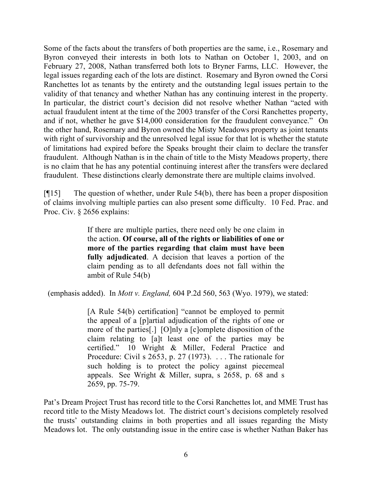Some of the facts about the transfers of both properties are the same, i.e., Rosemary and Byron conveyed their interests in both lots to Nathan on October 1, 2003, and on February 27, 2008, Nathan transferred both lots to Bryner Farms, LLC. However, the legal issues regarding each of the lots are distinct. Rosemary and Byron owned the Corsi Ranchettes lot as tenants by the entirety and the outstanding legal issues pertain to the validity of that tenancy and whether Nathan has any continuing interest in the property. In particular, the district court's decision did not resolve whether Nathan "acted with actual fraudulent intent at the time of the 2003 transfer of the Corsi Ranchettes property, and if not, whether he gave \$14,000 consideration for the fraudulent conveyance." On the other hand, Rosemary and Byron owned the Misty Meadows property as joint tenants with right of survivorship and the unresolved legal issue for that lot is whether the statute of limitations had expired before the Speaks brought their claim to declare the transfer fraudulent. Although Nathan is in the chain of title to the Misty Meadows property, there is no claim that he has any potential continuing interest after the transfers were declared fraudulent. These distinctions clearly demonstrate there are multiple claims involved.

[¶15] The question of whether, under Rule 54(b), there has been a proper disposition of claims involving multiple parties can also present some difficulty. 10 Fed. Prac. and Proc. Civ. § 2656 explains:

> If there are multiple parties, there need only be one claim in the action. **Of course, all of the rights or liabilities of one or more of the parties regarding that claim must have been fully adjudicated**. A decision that leaves a portion of the claim pending as to all defendants does not fall within the ambit of Rule 54(b)

(emphasis added). In *Mott v. England,* 604 P.2d 560, 563 (Wyo. 1979), we stated:

[A Rule 54(b) certification] "cannot be employed to permit the appeal of a [p]artial adjudication of the rights of one or more of the parties[.] [O]nly a [c]omplete disposition of the claim relating to [a]t least one of the parties may be certified." 10 Wright & Miller, Federal Practice and Procedure: Civil s 2653, p. 27 (1973). ... The rationale for such holding is to protect the policy against piecemeal appeals. See Wright & Miller, supra, s 2658, p. 68 and s 2659, pp. 75-79.

Pat's Dream Project Trust has record title to the Corsi Ranchettes lot, and MME Trust has record title to the Misty Meadows lot. The district court's decisions completely resolved the trusts' outstanding claims in both properties and all issues regarding the Misty Meadows lot. The only outstanding issue in the entire case is whether Nathan Baker has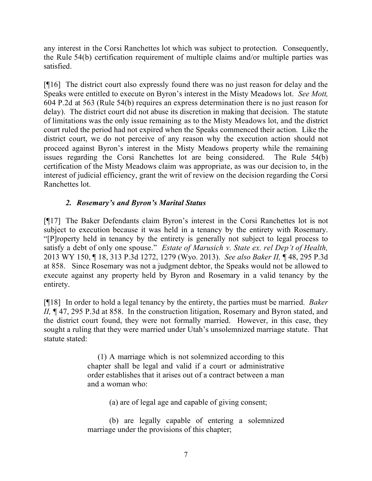any interest in the Corsi Ranchettes lot which was subject to protection. Consequently, the Rule 54(b) certification requirement of multiple claims and/or multiple parties was satisfied.

[¶16] The district court also expressly found there was no just reason for delay and the Speaks were entitled to execute on Byron's interest in the Misty Meadows lot. *See Mott,* 604 P.2d at 563 (Rule 54(b) requires an express determination there is no just reason for delay). The district court did not abuse its discretion in making that decision. The statute of limitations was the only issue remaining as to the Misty Meadows lot, and the district court ruled the period had not expired when the Speaks commenced their action. Like the district court, we do not perceive of any reason why the execution action should not proceed against Byron's interest in the Misty Meadows property while the remaining issues regarding the Corsi Ranchettes lot are being considered. The Rule 54(b) certification of the Misty Meadows claim was appropriate, as was our decision to, in the interest of judicial efficiency, grant the writ of review on the decision regarding the Corsi Ranchettes lot.

# *2. Rosemary's and Byron's Marital Status*

[¶17] The Baker Defendants claim Byron's interest in the Corsi Ranchettes lot is not subject to execution because it was held in a tenancy by the entirety with Rosemary. "[P]roperty held in tenancy by the entirety is generally not subject to legal process to satisfy a debt of only one spouse." *Estate of Marusich v. State ex. rel Dep't of Health,*  2013 WY 150, ¶ 18, 313 P.3d 1272, 1279 (Wyo. 2013). *See also Baker II,* ¶ 48, 295 P.3d at 858. Since Rosemary was not a judgment debtor, the Speaks would not be allowed to execute against any property held by Byron and Rosemary in a valid tenancy by the entirety.

[¶18] In order to hold a legal tenancy by the entirety, the parties must be married. *Baker II*, ¶ 47, 295 P.3d at 858. In the construction litigation, Rosemary and Byron stated, and the district court found, they were not formally married. However, in this case, they sought a ruling that they were married under Utah's unsolemnized marriage statute. That statute stated:

> (1) A marriage which is not solemnized according to this chapter shall be legal and valid if a court or administrative order establishes that it arises out of a contract between a man and a woman who:

> > (a) are of legal age and capable of giving consent;

(b) are legally capable of entering a solemnized marriage under the provisions of this chapter;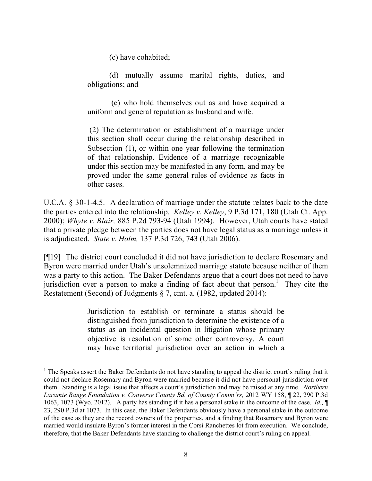(c) have cohabited;

(d) mutually assume marital rights, duties, and obligations; and

(e) who hold themselves out as and have acquired a uniform and general reputation as husband and wife.

(2) The determination or establishment of a marriage under this section shall occur during the relationship described in Subsection (1), or within one year following the termination of that relationship. Evidence of a marriage recognizable under this section may be manifested in any form, and may be proved under the same general rules of evidence as facts in other cases.

U.C.A. § 30-1-4.5. A declaration of marriage under the statute relates back to the date the parties entered into the relationship*. Kelley v. Kelley*, 9 P.3d 171, 180 (Utah Ct. App. 2000); *Whyte v. Blair,* 885 P.2d 793-94 (Utah 1994). However, Utah courts have stated that a private pledge between the parties does not have legal status as a marriage unless it is adjudicated. *State v. Holm,* 137 P.3d 726, 743 (Utah 2006).

[¶19] The district court concluded it did not have jurisdiction to declare Rosemary and Byron were married under Utah's unsolemnized marriage statute because neither of them was a party to this action. The Baker Defendants argue that a court does not need to have jurisdiction over a person to make a finding of fact about that person.<sup>1</sup> They cite the Restatement (Second) of Judgments § 7, cmt. a. (1982, updated 2014):

> Jurisdiction to establish or terminate a status should be distinguished from jurisdiction to determine the existence of a status as an incidental question in litigation whose primary objective is resolution of some other controversy. A court may have territorial jurisdiction over an action in which a

 $\overline{a}$ 

 $<sup>1</sup>$  The Speaks assert the Baker Defendants do not have standing to appeal the district court's ruling that it</sup> could not declare Rosemary and Byron were married because it did not have personal jurisdiction over them. Standing is a legal issue that affects a court's jurisdiction and may be raised at any time. *Northern Laramie Range Foundation v. Converse County Bd. of County Comm'rs,* 2012 WY 158, ¶ 22, 290 P.3d 1063, 1073 (Wyo. 2012). A party has standing if it has a personal stake in the outcome of the case. *Id.,* ¶ 23, 290 P.3d at 1073. In this case, the Baker Defendants obviously have a personal stake in the outcome of the case as they are the record owners of the properties, and a finding that Rosemary and Byron were married would insulate Byron's former interest in the Corsi Ranchettes lot from execution. We conclude, therefore, that the Baker Defendants have standing to challenge the district court's ruling on appeal.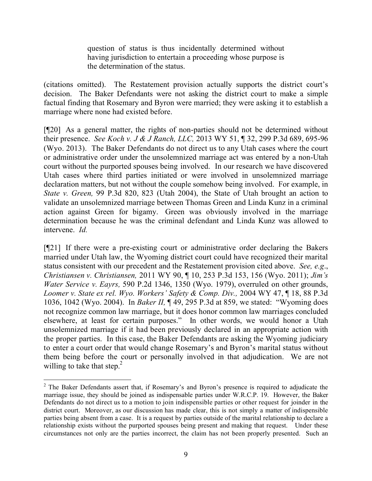question of status is thus incidentally determined without having jurisdiction to entertain a proceeding whose purpose is the determination of the status.

(citations omitted). The Restatement provision actually supports the district court's decision. The Baker Defendants were not asking the district court to make a simple factual finding that Rosemary and Byron were married; they were asking it to establish a marriage where none had existed before.

[¶20] As a general matter, the rights of non-parties should not be determined without their presence. *See Koch v. J & J Ranch, LLC,* 2013 WY 51, ¶ 32, 299 P.3d 689, 695-96 (Wyo. 2013).The Baker Defendants do not direct us to any Utah cases where the court or administrative order under the unsolemnized marriage act was entered by a non-Utah court without the purported spouses being involved. In our research we have discovered Utah cases where third parties initiated or were involved in unsolemnized marriage declaration matters, but not without the couple somehow being involved. For example, in *State v. Green,* 99 P.3d 820, 823 (Utah 2004), the State of Utah brought an action to validate an unsolemnized marriage between Thomas Green and Linda Kunz in a criminal action against Green for bigamy. Green was obviously involved in the marriage determination because he was the criminal defendant and Linda Kunz was allowed to intervene. *Id.* 

[¶21] If there were a pre-existing court or administrative order declaring the Bakers married under Utah law, the Wyoming district court could have recognized their marital status consistent with our precedent and the Restatement provision cited above. *See, e.g*., *Christiansen v. Christiansen,* 2011 WY 90, ¶ 10, 253 P.3d 153, 156 (Wyo. 2011); *Jim's Water Service v. Eayrs,* 590 P.2d 1346, 1350 (Wyo. 1979), overruled on other grounds, *Loomer v. State ex rel. Wyo. Workers' Safety & Comp. Div.,* 2004 WY 47, ¶ 18, 88 P.3d 1036, 1042 (Wyo. 2004). In *Baker II,* ¶ 49, 295 P.3d at 859, we stated: "Wyoming does not recognize common law marriage, but it does honor common law marriages concluded elsewhere, at least for certain purposes." In other words, we would honor a Utah unsolemnized marriage if it had been previously declared in an appropriate action with the proper parties. In this case, the Baker Defendants are asking the Wyoming judiciary to enter a court order that would change Rosemary's and Byron's marital status without them being before the court or personally involved in that adjudication. We are not willing to take that step.<sup>2</sup>

 $\overline{a}$ 

<sup>&</sup>lt;sup>2</sup> The Baker Defendants assert that, if Rosemary's and Byron's presence is required to adjudicate the marriage issue, they should be joined as indispensable parties under W.R.C.P. 19. However, the Baker Defendants do not direct us to a motion to join indispensible parties or other request for joinder in the district court. Moreover, as our discussion has made clear, this is not simply a matter of indispensible parties being absent from a case. It is a request by parties outside of the marital relationship to declare a relationship exists without the purported spouses being present and making that request. Under these circumstances not only are the parties incorrect, the claim has not been properly presented. Such an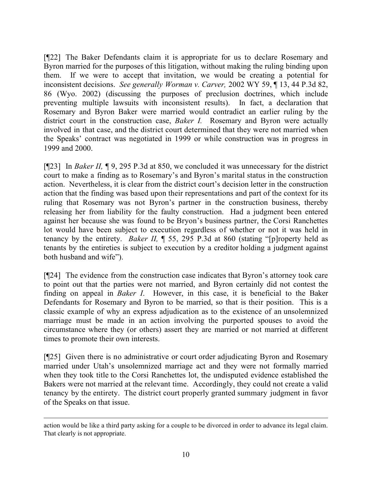[¶22] The Baker Defendants claim it is appropriate for us to declare Rosemary and Byron married for the purposes of this litigation, without making the ruling binding upon them. If we were to accept that invitation, we would be creating a potential for inconsistent decisions. *See generally Worman v. Carver,* 2002 WY 59, ¶ 13, 44 P.3d 82, 86 (Wyo. 2002) (discussing the purposes of preclusion doctrines, which include preventing multiple lawsuits with inconsistent results). In fact, a declaration that Rosemary and Byron Baker were married would contradict an earlier ruling by the district court in the construction case, *Baker I.* Rosemary and Byron were actually involved in that case, and the district court determined that they were not married when the Speaks' contract was negotiated in 1999 or while construction was in progress in 1999 and 2000.

[¶23] In *Baker II,* ¶ 9, 295 P.3d at 850, we concluded it was unnecessary for the district court to make a finding as to Rosemary's and Byron's marital status in the construction action. Nevertheless, it is clear from the district court's decision letter in the construction action that the finding was based upon their representations and part of the context for its ruling that Rosemary was not Byron's partner in the construction business, thereby releasing her from liability for the faulty construction. Had a judgment been entered against her because she was found to be Bryon's business partner, the Corsi Ranchettes lot would have been subject to execution regardless of whether or not it was held in tenancy by the entirety. *Baker II,* ¶ 55, 295 P.3d at 860 (stating "[p]roperty held as tenants by the entireties is subject to execution by a creditor holding a judgment against both husband and wife").

[¶24] The evidence from the construction case indicates that Byron's attorney took care to point out that the parties were not married, and Byron certainly did not contest the finding on appeal in *Baker I*. However, in this case, it is beneficial to the Baker Defendants for Rosemary and Byron to be married, so that is their position. This is a classic example of why an express adjudication as to the existence of an unsolemnized marriage must be made in an action involving the purported spouses to avoid the circumstance where they (or others) assert they are married or not married at different times to promote their own interests.

[¶25] Given there is no administrative or court order adjudicating Byron and Rosemary married under Utah's unsolemnized marriage act and they were not formally married when they took title to the Corsi Ranchettes lot, the undisputed evidence established the Bakers were not married at the relevant time. Accordingly, they could not create a valid tenancy by the entirety. The district court properly granted summary judgment in favor of the Speaks on that issue.

action would be like a third party asking for a couple to be divorced in order to advance its legal claim. That clearly is not appropriate.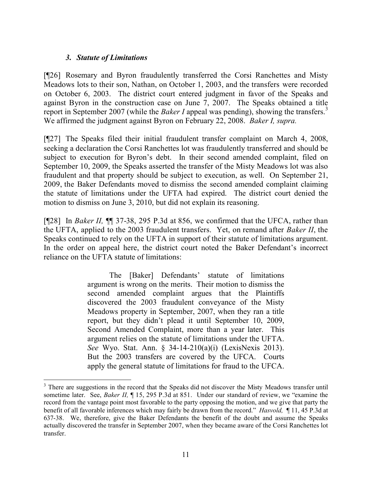# *3. Statute of Limitations*

 $\overline{a}$ 

[¶26] Rosemary and Byron fraudulently transferred the Corsi Ranchettes and Misty Meadows lots to their son, Nathan, on October 1, 2003, and the transfers were recorded on October 6, 2003. The district court entered judgment in favor of the Speaks and against Byron in the construction case on June 7, 2007. The Speaks obtained a title report in September 2007 (while the *Baker I* appeal was pending), showing the transfers.<sup>3</sup> We affirmed the judgment against Byron on February 22, 2008. *Baker I, supra.* 

[¶27] The Speaks filed their initial fraudulent transfer complaint on March 4, 2008, seeking a declaration the Corsi Ranchettes lot was fraudulently transferred and should be subject to execution for Byron's debt. In their second amended complaint, filed on September 10, 2009, the Speaks asserted the transfer of the Misty Meadows lot was also fraudulent and that property should be subject to execution, as well. On September 21, 2009, the Baker Defendants moved to dismiss the second amended complaint claiming the statute of limitations under the UFTA had expired. The district court denied the motion to dismiss on June 3, 2010, but did not explain its reasoning.

[¶28] In *Baker II,* ¶¶ 37-38, 295 P.3d at 856, we confirmed that the UFCA, rather than the UFTA, applied to the 2003 fraudulent transfers. Yet, on remand after *Baker II*, the Speaks continued to rely on the UFTA in support of their statute of limitations argument. In the order on appeal here, the district court noted the Baker Defendant's incorrect reliance on the UFTA statute of limitations:

> The [Baker] Defendants' statute of limitations argument is wrong on the merits. Their motion to dismiss the second amended complaint argues that the Plaintiffs discovered the 2003 fraudulent conveyance of the Misty Meadows property in September, 2007, when they ran a title report, but they didn't plead it until September 10, 2009, Second Amended Complaint, more than a year later. This argument relies on the statute of limitations under the UFTA. *See* Wyo. Stat. Ann. § 34-14-210(a)(i) (LexisNexis 2013). But the 2003 transfers are covered by the UFCA. Courts apply the general statute of limitations for fraud to the UFCA.

<sup>&</sup>lt;sup>3</sup> There are suggestions in the record that the Speaks did not discover the Misty Meadows transfer until sometime later. See, *Baker II,* ¶ 15, 295 P.3d at 851. Under our standard of review, we "examine the record from the vantage point most favorable to the party opposing the motion, and we give that party the benefit of all favorable inferences which may fairly be drawn from the record." *Hasvold,* ¶ 11, 45 P.3d at 637-38. We, therefore, give the Baker Defendants the benefit of the doubt and assume the Speaks actually discovered the transfer in September 2007, when they became aware of the Corsi Ranchettes lot transfer.